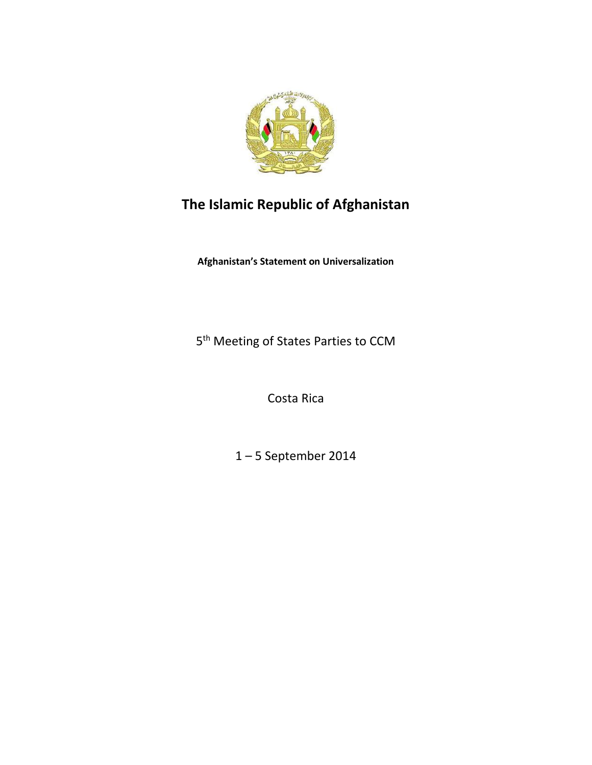

## **The Islamic Republic of Afghanistan**

**Afghanistan's Statement on Universalization** 

5<sup>th</sup> Meeting of States Parties to CCM

Costa Rica

1 – 5 September 2014